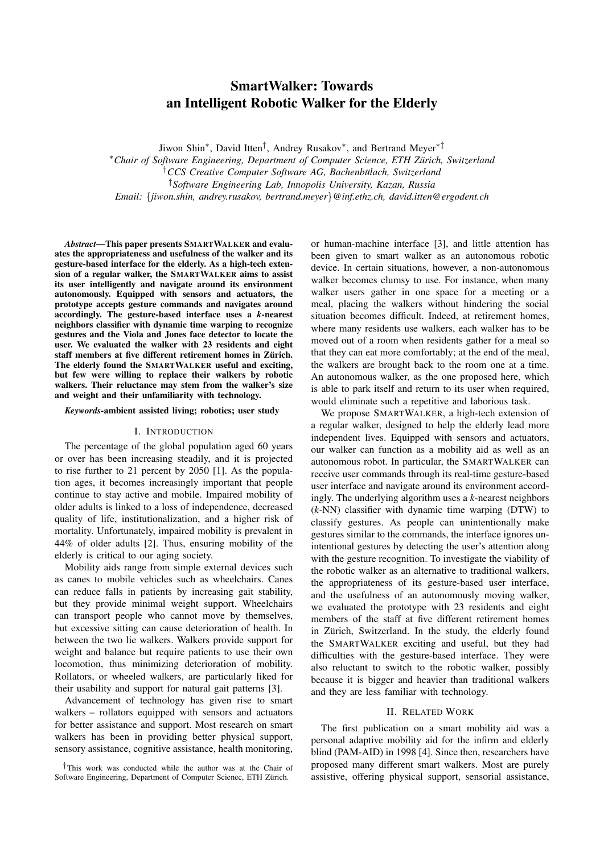# SmartWalker: Towards an Intelligent Robotic Walker for the Elderly

Jiwon Shin∗, David Itten†, Andrey Rusakov∗, and Bertrand Meyer∗‡

∗*Chair of Software Engineering, Department of Computer Science, ETH Zurich, Switzerland ¨* †*CCS Creative Computer Software AG, Bachenbulach, Switzerland ¨* ‡*Software Engineering Lab, Innopolis University, Kazan, Russia Email:* {*jiwon.shin, andrey.rusakov, bertrand.meyer*}*@inf.ethz.ch, david.itten@ergodent.ch*

*Abstract*—This paper presents SMARTWALKER and evaluates the appropriateness and usefulness of the walker and its gesture-based interface for the elderly. As a high-tech extension of a regular walker, the SMARTWALKER aims to assist its user intelligently and navigate around its environment autonomously. Equipped with sensors and actuators, the prototype accepts gesture commands and navigates around accordingly. The gesture-based interface uses a *k*-nearest neighbors classifier with dynamic time warping to recognize gestures and the Viola and Jones face detector to locate the user. We evaluated the walker with 23 residents and eight staff members at five different retirement homes in Zürich. The elderly found the SMARTWALKER useful and exciting, but few were willing to replace their walkers by robotic walkers. Their reluctance may stem from the walker's size and weight and their unfamiliarity with technology.

#### *Keywords*-ambient assisted living; robotics; user study

#### I. INTRODUCTION

The percentage of the global population aged 60 years or over has been increasing steadily, and it is projected to rise further to 21 percent by 2050 [1]. As the population ages, it becomes increasingly important that people continue to stay active and mobile. Impaired mobility of older adults is linked to a loss of independence, decreased quality of life, institutionalization, and a higher risk of mortality. Unfortunately, impaired mobility is prevalent in 44% of older adults [2]. Thus, ensuring mobility of the elderly is critical to our aging society.

Mobility aids range from simple external devices such as canes to mobile vehicles such as wheelchairs. Canes can reduce falls in patients by increasing gait stability, but they provide minimal weight support. Wheelchairs can transport people who cannot move by themselves, but excessive sitting can cause deterioration of health. In between the two lie walkers. Walkers provide support for weight and balance but require patients to use their own locomotion, thus minimizing deterioration of mobility. Rollators, or wheeled walkers, are particularly liked for their usability and support for natural gait patterns [3].

Advancement of technology has given rise to smart walkers – rollators equipped with sensors and actuators for better assistance and support. Most research on smart walkers has been in providing better physical support, sensory assistance, cognitive assistance, health monitoring, or human-machine interface [3], and little attention has been given to smart walker as an autonomous robotic device. In certain situations, however, a non-autonomous walker becomes clumsy to use. For instance, when many walker users gather in one space for a meeting or a meal, placing the walkers without hindering the social situation becomes difficult. Indeed, at retirement homes, where many residents use walkers, each walker has to be moved out of a room when residents gather for a meal so that they can eat more comfortably; at the end of the meal, the walkers are brought back to the room one at a time. An autonomous walker, as the one proposed here, which is able to park itself and return to its user when required, would eliminate such a repetitive and laborious task.

We propose SMARTWALKER, a high-tech extension of a regular walker, designed to help the elderly lead more independent lives. Equipped with sensors and actuators, our walker can function as a mobility aid as well as an autonomous robot. In particular, the SMARTWALKER can receive user commands through its real-time gesture-based user interface and navigate around its environment accordingly. The underlying algorithm uses a *k*-nearest neighbors (*k*-NN) classifier with dynamic time warping (DTW) to classify gestures. As people can unintentionally make gestures similar to the commands, the interface ignores unintentional gestures by detecting the user's attention along with the gesture recognition. To investigate the viability of the robotic walker as an alternative to traditional walkers, the appropriateness of its gesture-based user interface, and the usefulness of an autonomously moving walker, we evaluated the prototype with 23 residents and eight members of the staff at five different retirement homes in Zürich, Switzerland. In the study, the elderly found the SMARTWALKER exciting and useful, but they had difficulties with the gesture-based interface. They were also reluctant to switch to the robotic walker, possibly because it is bigger and heavier than traditional walkers and they are less familiar with technology.

#### II. RELATED WORK

The first publication on a smart mobility aid was a personal adaptive mobility aid for the infirm and elderly blind (PAM-AID) in 1998 [4]. Since then, researchers have proposed many different smart walkers. Most are purely assistive, offering physical support, sensorial assistance,

<sup>†</sup>This work was conducted while the author was at the Chair of Software Engineering, Department of Computer Scienec, ETH Zurich. ¨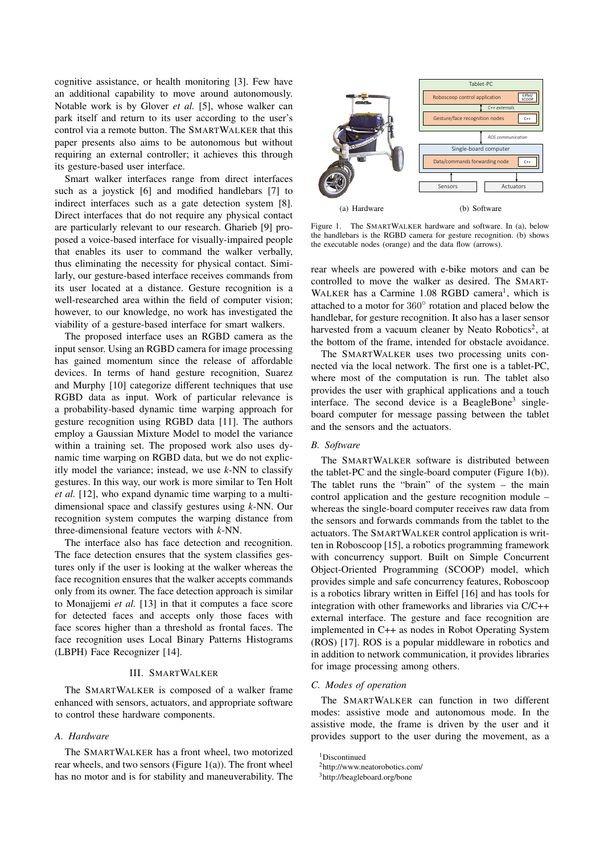cognitive assistance, or health monitoring [3]. Few have an additional capability to move around autonomously. Notable work is by Glover *et al.* [5], whose walker can park itself and return to its user according to the user's control via a remote button. The SMARTWALKER that this paper presents also aims to be autonomous but without requiring an external controller; it achieves this through its gesture-based user interface.

Smart walker interfaces range from direct interfaces such as a joystick [6] and modified handlebars [7] to indirect interfaces such as a gate detection system [8]. Direct interfaces that do not require any physical contact are particularly relevant to our research. Gharieb [9] proposed a voice-based interface for visually-impaired people that enables its user to command the walker verbally, thus eliminating the necessity for physical contact. Similarly, our gesture-based interface receives commands from its user located at a distance. Gesture recognition is a well-researched area within the field of computer vision; however, to our knowledge, no work has investigated the viability of a gesture-based interface for smart walkers.

The proposed interface uses an RGBD camera as the input sensor. Using an RGBD camera for image processing has gained momentum since the release of affordable devices. In terms of hand gesture recognition, Suarez and Murphy [10] categorize different techniques that use RGBD data as input. Work of particular relevance is a probability-based dynamic time warping approach for gesture recognition using RGBD data [11]. The authors employ a Gaussian Mixture Model to model the variance within a training set. The proposed work also uses dynamic time warping on RGBD data, but we do not explicitly model the variance; instead, we use *k*-NN to classify gestures. In this way, our work is more similar to Ten Holt *et al.* [12], who expand dynamic time warping to a multidimensional space and classify gestures using *k*-NN. Our recognition system computes the warping distance from three-dimensional feature vectors with *k*-NN.

The interface also has face detection and recognition. The face detection ensures that the system classifies gestures only if the user is looking at the walker whereas the face recognition ensures that the walker accepts commands only from its owner. The face detection approach is similar to Monajjemi *et al.* [13] in that it computes a face score for detected faces and accepts only those faces with face scores higher than a threshold as frontal faces. The face recognition uses Local Binary Patterns Histograms (LBPH) Face Recognizer [14].

## III. SMARTWALKER

The SMARTWALKER is composed of a walker frame enhanced with sensors, actuators, and appropriate software to control these hardware components.

## *A. Hardware*

The SMARTWALKER has a front wheel, two motorized rear wheels, and two sensors (Figure 1(a)). The front wheel has no motor and is for stability and maneuverability. The



Figure 1. The SMARTWALKER hardware and software. In (a), below the handlebars is the RGBD camera for gesture recognition. (b) shows the executable nodes (orange) and the data flow (arrows).

rear wheels are powered with e-bike motors and can be controlled to move the walker as desired. The SMART-WALKER has a Carmine  $1.08$  RGBD camera<sup>1</sup>, which is attached to a motor for 360◦ rotation and placed below the handlebar, for gesture recognition. It also has a laser sensor harvested from a vacuum cleaner by Neato Robotics<sup>2</sup>, at the bottom of the frame, intended for obstacle avoidance.

The SMARTWALKER uses two processing units connected via the local network. The first one is a tablet-PC, where most of the computation is run. The tablet also provides the user with graphical applications and a touch interface. The second device is a BeagleBone<sup>3</sup> singleboard computer for message passing between the tablet and the sensors and the actuators.

# *B. Software*

The SMARTWALKER software is distributed between the tablet-PC and the single-board computer (Figure 1(b)). The tablet runs the "brain" of the system – the main control application and the gesture recognition module – whereas the single-board computer receives raw data from the sensors and forwards commands from the tablet to the actuators. The SMARTWALKER control application is written in Roboscoop [15], a robotics programming framework with concurrency support. Built on Simple Concurrent Object-Oriented Programming (SCOOP) model, which provides simple and safe concurrency features, Roboscoop is a robotics library written in Eiffel [16] and has tools for integration with other frameworks and libraries via C/C++ external interface. The gesture and face recognition are implemented in C++ as nodes in Robot Operating System (ROS) [17]. ROS is a popular middleware in robotics and in addition to network communication, it provides libraries for image processing among others.

# *C. Modes of operation*

The SMARTWALKER can function in two different modes: assistive mode and autonomous mode. In the assistive mode, the frame is driven by the user and it provides support to the user during the movement, as a

<sup>&</sup>lt;sup>1</sup>Discontinued

<sup>2</sup>http://www.neatorobotics.com/

<sup>3</sup>http://beagleboard.org/bone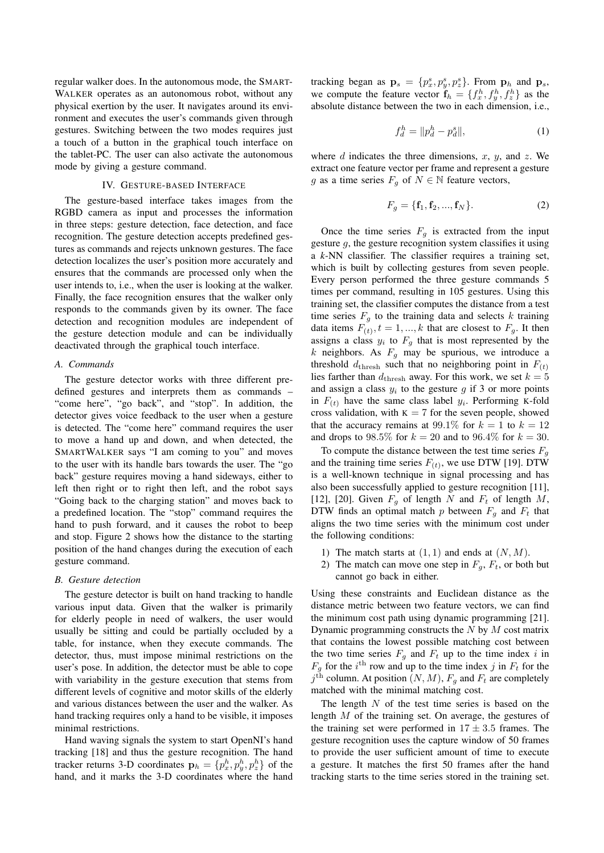regular walker does. In the autonomous mode, the SMART-WALKER operates as an autonomous robot, without any physical exertion by the user. It navigates around its environment and executes the user's commands given through gestures. Switching between the two modes requires just a touch of a button in the graphical touch interface on the tablet-PC. The user can also activate the autonomous mode by giving a gesture command.

#### IV. GESTURE-BASED INTERFACE

The gesture-based interface takes images from the RGBD camera as input and processes the information in three steps: gesture detection, face detection, and face recognition. The gesture detection accepts predefined gestures as commands and rejects unknown gestures. The face detection localizes the user's position more accurately and ensures that the commands are processed only when the user intends to, i.e., when the user is looking at the walker. Finally, the face recognition ensures that the walker only responds to the commands given by its owner. The face detection and recognition modules are independent of the gesture detection module and can be individually deactivated through the graphical touch interface.

# *A. Commands*

The gesture detector works with three different predefined gestures and interprets them as commands – "come here", "go back", and "stop". In addition, the detector gives voice feedback to the user when a gesture is detected. The "come here" command requires the user to move a hand up and down, and when detected, the SMARTWALKER says "I am coming to you" and moves to the user with its handle bars towards the user. The "go back" gesture requires moving a hand sideways, either to left then right or to right then left, and the robot says "Going back to the charging station" and moves back to a predefined location. The "stop" command requires the hand to push forward, and it causes the robot to beep and stop. Figure 2 shows how the distance to the starting position of the hand changes during the execution of each gesture command.

#### *B. Gesture detection*

The gesture detector is built on hand tracking to handle various input data. Given that the walker is primarily for elderly people in need of walkers, the user would usually be sitting and could be partially occluded by a table, for instance, when they execute commands. The detector, thus, must impose minimal restrictions on the user's pose. In addition, the detector must be able to cope with variability in the gesture execution that stems from different levels of cognitive and motor skills of the elderly and various distances between the user and the walker. As hand tracking requires only a hand to be visible, it imposes minimal restrictions.

Hand waving signals the system to start OpenNI's hand tracking [18] and thus the gesture recognition. The hand tracker returns 3-D coordinates  $\mathbf{p}_h = \{p_x^h, p_y^h, p_z^h\}$  of the hand, and it marks the 3-D coordinates where the hand tracking began as  $\mathbf{p}_s = \{p_x^s, p_y^s, p_z^s\}$ . From  $\mathbf{p}_h$  and  $\mathbf{p}_s$ , we compute the feature vector  $\mathbf{f}_h = \{f_x^h, f_y^h, f_z^h\}$  as the absolute distance between the two in each dimension, i.e.,

$$
f_d^h = \|p_d^h - p_d^s\|,\tag{1}
$$

where  $d$  indicates the three dimensions,  $x$ ,  $y$ , and  $z$ . We extract one feature vector per frame and represent a gesture g as a time series  $F_g$  of  $N \in \mathbb{N}$  feature vectors,

$$
F_g = \{f_1, f_2, ..., f_N\}.
$$
 (2)

Once the time series  $F<sub>g</sub>$  is extracted from the input gesture g, the gesture recognition system classifies it using a *k*-NN classifier. The classifier requires a training set, which is built by collecting gestures from seven people. Every person performed the three gesture commands 5 times per command, resulting in 105 gestures. Using this training set, the classifier computes the distance from a test time series  $F_q$  to the training data and selects k training data items  $F_{(t)}$ ,  $t = 1, ..., k$  that are closest to  $F_q$ . It then assigns a class  $y_i$  to  $F_q$  that is most represented by the k neighbors. As  $F_q$  may be spurious, we introduce a threshold  $d_{\text{thresh}}$  such that no neighboring point in  $F_{(t)}$ lies farther than  $d_{\text{thresh}}$  away. For this work, we set  $k = 5$ and assign a class  $y_i$  to the gesture g if 3 or more points in  $F(t)$  have the same class label  $y_i$ . Performing K-fold cross validation, with  $K = 7$  for the seven people, showed that the accuracy remains at 99.1% for  $k = 1$  to  $k = 12$ and drops to 98.5% for  $k = 20$  and to 96.4% for  $k = 30$ .

To compute the distance between the test time series  $F_q$ and the training time series  $F_{(t)}$ , we use DTW [19]. DTW is a well-known technique in signal processing and has also been successfully applied to gesture recognition [11], [12], [20]. Given  $F_q$  of length N and  $F_t$  of length M, DTW finds an optimal match p between  $F_q$  and  $F_t$  that aligns the two time series with the minimum cost under the following conditions:

- 1) The match starts at  $(1, 1)$  and ends at  $(N, M)$ .
- 2) The match can move one step in  $F_a$ ,  $F_t$ , or both but cannot go back in either.

Using these constraints and Euclidean distance as the distance metric between two feature vectors, we can find the minimum cost path using dynamic programming [21]. Dynamic programming constructs the  $N$  by  $M$  cost matrix that contains the lowest possible matching cost between the two time series  $F_g$  and  $F_t$  up to the time index i in  $F_g$  for the i<sup>th</sup> row and up to the time index j in  $F_t$  for the  $j<sup>th</sup>$  column. At position  $(N, M)$ ,  $F_q$  and  $F_t$  are completely matched with the minimal matching cost.

The length  $N$  of the test time series is based on the length M of the training set. On average, the gestures of the training set were performed in  $17 \pm 3.5$  frames. The gesture recognition uses the capture window of 50 frames to provide the user sufficient amount of time to execute a gesture. It matches the first 50 frames after the hand tracking starts to the time series stored in the training set.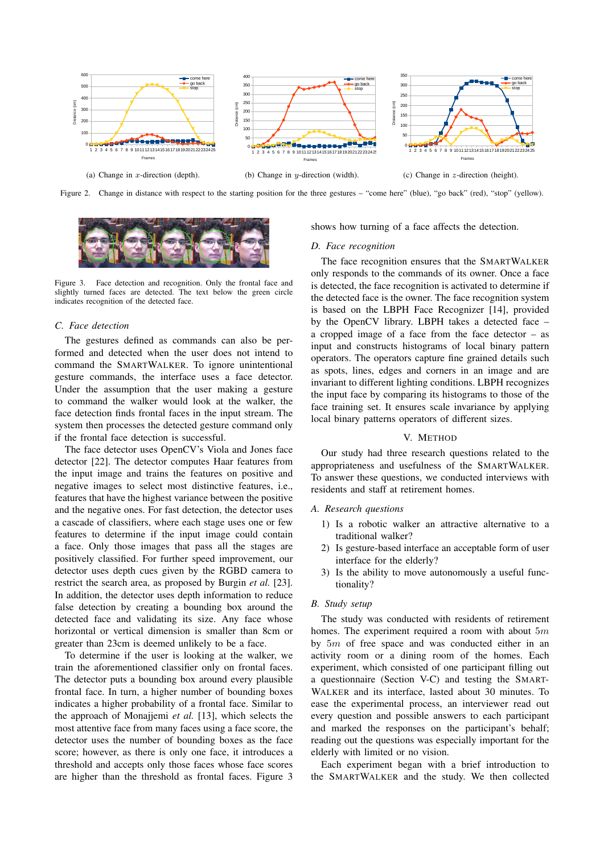

Figure 2. Change in distance with respect to the starting position for the three gestures – "come here" (blue), "go back" (red), "stop" (yellow).



Figure 3. Face detection and recognition. Only the frontal face and slightly turned faces are detected. The text below the green circle indicates recognition of the detected face.

## *C. Face detection*

The gestures defined as commands can also be performed and detected when the user does not intend to command the SMARTWALKER. To ignore unintentional gesture commands, the interface uses a face detector. Under the assumption that the user making a gesture to command the walker would look at the walker, the face detection finds frontal faces in the input stream. The system then processes the detected gesture command only if the frontal face detection is successful.

The face detector uses OpenCV's Viola and Jones face detector [22]. The detector computes Haar features from the input image and trains the features on positive and negative images to select most distinctive features, i.e., features that have the highest variance between the positive and the negative ones. For fast detection, the detector uses a cascade of classifiers, where each stage uses one or few features to determine if the input image could contain a face. Only those images that pass all the stages are positively classified. For further speed improvement, our detector uses depth cues given by the RGBD camera to restrict the search area, as proposed by Burgin *et al.* [23]. In addition, the detector uses depth information to reduce false detection by creating a bounding box around the detected face and validating its size. Any face whose horizontal or vertical dimension is smaller than 8cm or greater than 23cm is deemed unlikely to be a face.

To determine if the user is looking at the walker, we train the aforementioned classifier only on frontal faces. The detector puts a bounding box around every plausible frontal face. In turn, a higher number of bounding boxes indicates a higher probability of a frontal face. Similar to the approach of Monajjemi *et al.* [13], which selects the most attentive face from many faces using a face score, the detector uses the number of bounding boxes as the face score; however, as there is only one face, it introduces a threshold and accepts only those faces whose face scores are higher than the threshold as frontal faces. Figure 3 shows how turning of a face affects the detection.

#### *D. Face recognition*

The face recognition ensures that the SMARTWALKER only responds to the commands of its owner. Once a face is detected, the face recognition is activated to determine if the detected face is the owner. The face recognition system is based on the LBPH Face Recognizer [14], provided by the OpenCV library. LBPH takes a detected face – a cropped image of a face from the face detector – as input and constructs histograms of local binary pattern operators. The operators capture fine grained details such as spots, lines, edges and corners in an image and are invariant to different lighting conditions. LBPH recognizes the input face by comparing its histograms to those of the face training set. It ensures scale invariance by applying local binary patterns operators of different sizes.

## V. METHOD

Our study had three research questions related to the appropriateness and usefulness of the SMARTWALKER. To answer these questions, we conducted interviews with residents and staff at retirement homes.

## *A. Research questions*

- 1) Is a robotic walker an attractive alternative to a traditional walker?
- 2) Is gesture-based interface an acceptable form of user interface for the elderly?
- 3) Is the ability to move autonomously a useful functionality?

# *B. Study setup*

The study was conducted with residents of retirement homes. The experiment required a room with about  $5m$ by 5m of free space and was conducted either in an activity room or a dining room of the homes. Each experiment, which consisted of one participant filling out a questionnaire (Section V-C) and testing the SMART-WALKER and its interface, lasted about 30 minutes. To ease the experimental process, an interviewer read out every question and possible answers to each participant and marked the responses on the participant's behalf; reading out the questions was especially important for the elderly with limited or no vision.

Each experiment began with a brief introduction to the SMARTWALKER and the study. We then collected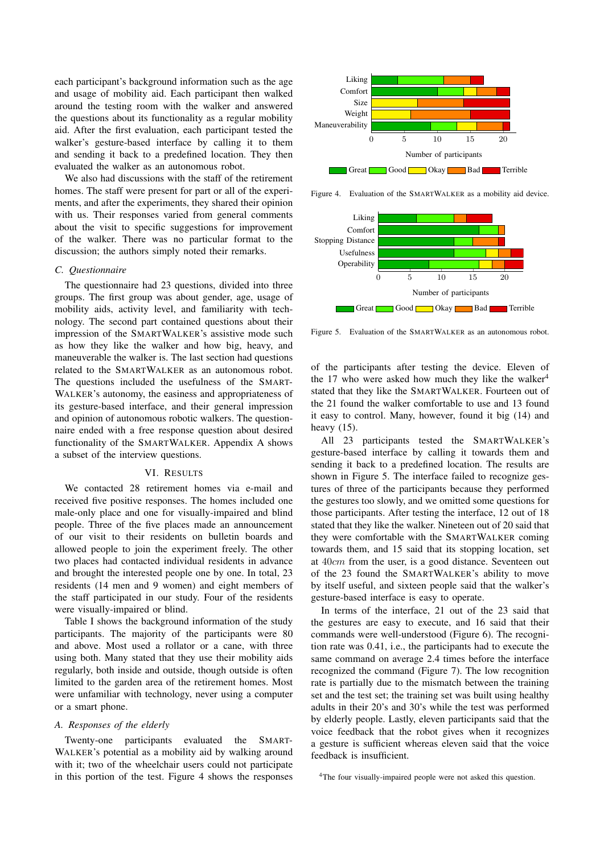each participant's background information such as the age and usage of mobility aid. Each participant then walked around the testing room with the walker and answered the questions about its functionality as a regular mobility aid. After the first evaluation, each participant tested the walker's gesture-based interface by calling it to them and sending it back to a predefined location. They then evaluated the walker as an autonomous robot.

We also had discussions with the staff of the retirement homes. The staff were present for part or all of the experiments, and after the experiments, they shared their opinion with us. Their responses varied from general comments about the visit to specific suggestions for improvement of the walker. There was no particular format to the discussion; the authors simply noted their remarks.

## *C. Questionnaire*

The questionnaire had 23 questions, divided into three groups. The first group was about gender, age, usage of mobility aids, activity level, and familiarity with technology. The second part contained questions about their impression of the SMARTWALKER's assistive mode such as how they like the walker and how big, heavy, and maneuverable the walker is. The last section had questions related to the SMARTWALKER as an autonomous robot. The questions included the usefulness of the SMART-WALKER's autonomy, the easiness and appropriateness of its gesture-based interface, and their general impression and opinion of autonomous robotic walkers. The questionnaire ended with a free response question about desired functionality of the SMARTWALKER. Appendix A shows a subset of the interview questions.

# VI. RESULTS

We contacted 28 retirement homes via e-mail and received five positive responses. The homes included one male-only place and one for visually-impaired and blind people. Three of the five places made an announcement of our visit to their residents on bulletin boards and allowed people to join the experiment freely. The other two places had contacted individual residents in advance and brought the interested people one by one. In total, 23 residents (14 men and 9 women) and eight members of the staff participated in our study. Four of the residents were visually-impaired or blind.

Table I shows the background information of the study participants. The majority of the participants were 80 and above. Most used a rollator or a cane, with three using both. Many stated that they use their mobility aids regularly, both inside and outside, though outside is often limited to the garden area of the retirement homes. Most were unfamiliar with technology, never using a computer or a smart phone.

# *A. Responses of the elderly*

Twenty-one participants evaluated the SMART-WALKER's potential as a mobility aid by walking around with it; two of the wheelchair users could not participate in this portion of the test. Figure 4 shows the responses



Figure 4. Evaluation of the SMARTWALKER as a mobility aid device.



Figure 5. Evaluation of the SMARTWALKER as an autonomous robot.

of the participants after testing the device. Eleven of the 17 who were asked how much they like the walker $4$ stated that they like the SMARTWALKER. Fourteen out of the 21 found the walker comfortable to use and 13 found it easy to control. Many, however, found it big (14) and heavy (15).

All 23 participants tested the SMARTWALKER's gesture-based interface by calling it towards them and sending it back to a predefined location. The results are shown in Figure 5. The interface failed to recognize gestures of three of the participants because they performed the gestures too slowly, and we omitted some questions for those participants. After testing the interface, 12 out of 18 stated that they like the walker. Nineteen out of 20 said that they were comfortable with the SMARTWALKER coming towards them, and 15 said that its stopping location, set at 40cm from the user, is a good distance. Seventeen out of the 23 found the SMARTWALKER's ability to move by itself useful, and sixteen people said that the walker's gesture-based interface is easy to operate.

In terms of the interface, 21 out of the 23 said that the gestures are easy to execute, and 16 said that their commands were well-understood (Figure 6). The recognition rate was 0.41, i.e., the participants had to execute the same command on average 2.4 times before the interface recognized the command (Figure 7). The low recognition rate is partially due to the mismatch between the training set and the test set; the training set was built using healthy adults in their 20's and 30's while the test was performed by elderly people. Lastly, eleven participants said that the voice feedback that the robot gives when it recognizes a gesture is sufficient whereas eleven said that the voice feedback is insufficient.

<sup>4</sup>The four visually-impaired people were not asked this question.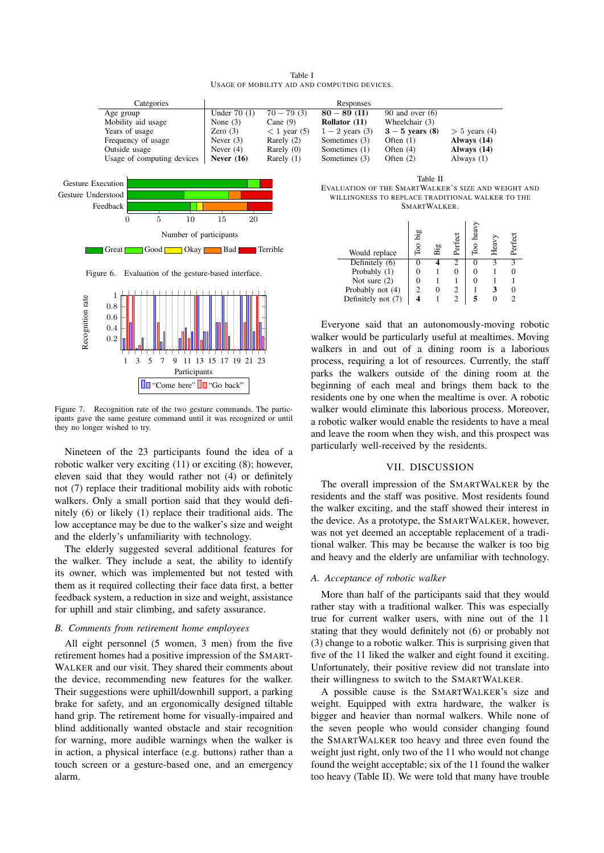Table I USAGE OF MOBILITY AID AND COMPUTING DEVICES.

| Categories                 | Responses     |                |                      |                     |                 |  |  |  |
|----------------------------|---------------|----------------|----------------------|---------------------|-----------------|--|--|--|
| Age group                  | Under $70(1)$ | $70 - 79(3)$   | $80 - 89(11)$        | $90$ and over $(6)$ |                 |  |  |  |
| Mobility aid usage         | None $(3)$    | Cane $(9)$     | <b>Rollator</b> (11) | Wheelchair (3)      |                 |  |  |  |
| Years of usage             | Zero $(3)$    | $<$ 1 year (5) | $1-2$ years (3)      | $3-5$ vears $(8)$   | $> 5$ years (4) |  |  |  |
| Frequency of usage         | Never $(3)$   | Rarely $(2)$   | Sometimes (3)        | Often $(1)$         | Always $(14)$   |  |  |  |
| Outside usage              | Never $(4)$   | Rarely $(0)$   | Sometimes $(1)$      | Often $(4)$         | Always $(14)$   |  |  |  |
| Usage of computing devices | Never $(16)$  | Rarely $(1)$   | Sometimes (3)        | Often $(2)$         | Always $(1)$    |  |  |  |



Figure 6. Evaluation of the gesture-based interface.



Figure 7. Recognition rate of the two gesture commands. The participants gave the same gesture command until it was recognized or until they no longer wished to try.

Nineteen of the 23 participants found the idea of a robotic walker very exciting (11) or exciting (8); however, eleven said that they would rather not (4) or definitely not (7) replace their traditional mobility aids with robotic walkers. Only a small portion said that they would definitely (6) or likely (1) replace their traditional aids. The low acceptance may be due to the walker's size and weight and the elderly's unfamiliarity with technology.

The elderly suggested several additional features for the walker. They include a seat, the ability to identify its owner, which was implemented but not tested with them as it required collecting their face data first, a better feedback system, a reduction in size and weight, assistance for uphill and stair climbing, and safety assurance.

## *B. Comments from retirement home employees*

All eight personnel (5 women, 3 men) from the five retirement homes had a positive impression of the SMART-WALKER and our visit. They shared their comments about the device, recommending new features for the walker. Their suggestions were uphill/downhill support, a parking brake for safety, and an ergonomically designed tiltable hand grip. The retirement home for visually-impaired and blind additionally wanted obstacle and stair recognition for warning, more audible warnings when the walker is in action, a physical interface (e.g. buttons) rather than a touch screen or a gesture-based one, and an emergency alarm.

Table II EVALUATION OF THE SMARTWALKER'S SIZE AND WEIGHT AND WILLINGNESS TO REPLACE TRADITIONAL WALKER TO THE SMARTWALKER.

| Would replace      | äg | Big | erfec | heavy<br>$\overline{5}$ | Heavy |  |
|--------------------|----|-----|-------|-------------------------|-------|--|
| Definitely (6)     |    |     | 2     |                         |       |  |
| Probably (1)       |    |     |       |                         |       |  |
| Not sure $(2)$     |    |     |       |                         |       |  |
| Probably not (4)   |    |     | 2     |                         |       |  |
| Definitely not (7) |    |     |       |                         |       |  |

Everyone said that an autonomously-moving robotic walker would be particularly useful at mealtimes. Moving walkers in and out of a dining room is a laborious process, requiring a lot of resources. Currently, the staff parks the walkers outside of the dining room at the beginning of each meal and brings them back to the residents one by one when the mealtime is over. A robotic walker would eliminate this laborious process. Moreover, a robotic walker would enable the residents to have a meal and leave the room when they wish, and this prospect was particularly well-received by the residents.

#### VII. DISCUSSION

The overall impression of the SMARTWALKER by the residents and the staff was positive. Most residents found the walker exciting, and the staff showed their interest in the device. As a prototype, the SMARTWALKER, however, was not yet deemed an acceptable replacement of a traditional walker. This may be because the walker is too big and heavy and the elderly are unfamiliar with technology.

#### *A. Acceptance of robotic walker*

More than half of the participants said that they would rather stay with a traditional walker. This was especially true for current walker users, with nine out of the 11 stating that they would definitely not (6) or probably not (3) change to a robotic walker. This is surprising given that five of the 11 liked the walker and eight found it exciting. Unfortunately, their positive review did not translate into their willingness to switch to the SMARTWALKER.

A possible cause is the SMARTWALKER's size and weight. Equipped with extra hardware, the walker is bigger and heavier than normal walkers. While none of the seven people who would consider changing found the SMARTWALKER too heavy and three even found the weight just right, only two of the 11 who would not change found the weight acceptable; six of the 11 found the walker too heavy (Table II). We were told that many have trouble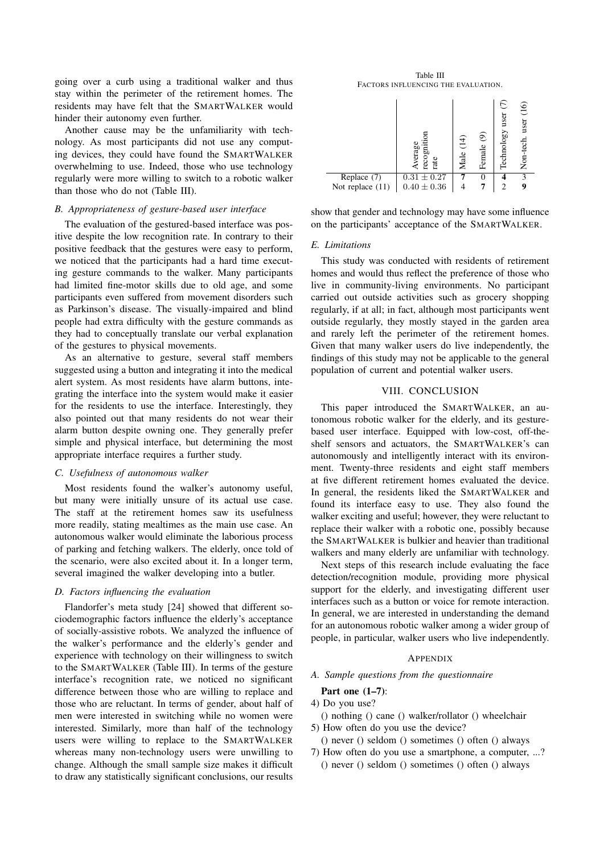going over a curb using a traditional walker and thus stay within the perimeter of the retirement homes. The residents may have felt that the SMARTWALKER would hinder their autonomy even further.

Another cause may be the unfamiliarity with technology. As most participants did not use any computing devices, they could have found the SMARTWALKER overwhelming to use. Indeed, those who use technology regularly were more willing to switch to a robotic walker than those who do not (Table III).

## *B. Appropriateness of gesture-based user interface*

The evaluation of the gestured-based interface was positive despite the low recognition rate. In contrary to their positive feedback that the gestures were easy to perform, we noticed that the participants had a hard time executing gesture commands to the walker. Many participants had limited fine-motor skills due to old age, and some participants even suffered from movement disorders such as Parkinson's disease. The visually-impaired and blind people had extra difficulty with the gesture commands as they had to conceptually translate our verbal explanation of the gestures to physical movements.

As an alternative to gesture, several staff members suggested using a button and integrating it into the medical alert system. As most residents have alarm buttons, integrating the interface into the system would make it easier for the residents to use the interface. Interestingly, they also pointed out that many residents do not wear their alarm button despite owning one. They generally prefer simple and physical interface, but determining the most appropriate interface requires a further study.

## *C. Usefulness of autonomous walker*

Most residents found the walker's autonomy useful, but many were initially unsure of its actual use case. The staff at the retirement homes saw its usefulness more readily, stating mealtimes as the main use case. An autonomous walker would eliminate the laborious process of parking and fetching walkers. The elderly, once told of the scenario, were also excited about it. In a longer term, several imagined the walker developing into a butler.

#### *D. Factors influencing the evaluation*

Flandorfer's meta study [24] showed that different sociodemographic factors influence the elderly's acceptance of socially-assistive robots. We analyzed the influence of the walker's performance and the elderly's gender and experience with technology on their willingness to switch to the SMARTWALKER (Table III). In terms of the gesture interface's recognition rate, we noticed no significant difference between those who are willing to replace and those who are reluctant. In terms of gender, about half of men were interested in switching while no women were interested. Similarly, more than half of the technology users were willing to replace to the SMARTWALKER whereas many non-technology users were unwilling to change. Although the small sample size makes it difficult to draw any statistically significant conclusions, our results

Table III FACTORS INFLUENCING THE EVALUATION.



show that gender and technology may have some influence on the participants' acceptance of the SMARTWALKER.

## *E. Limitations*

This study was conducted with residents of retirement homes and would thus reflect the preference of those who live in community-living environments. No participant carried out outside activities such as grocery shopping regularly, if at all; in fact, although most participants went outside regularly, they mostly stayed in the garden area and rarely left the perimeter of the retirement homes. Given that many walker users do live independently, the findings of this study may not be applicable to the general population of current and potential walker users.

## VIII. CONCLUSION

This paper introduced the SMARTWALKER, an autonomous robotic walker for the elderly, and its gesturebased user interface. Equipped with low-cost, off-theshelf sensors and actuators, the SMARTWALKER's can autonomously and intelligently interact with its environment. Twenty-three residents and eight staff members at five different retirement homes evaluated the device. In general, the residents liked the SMARTWALKER and found its interface easy to use. They also found the walker exciting and useful; however, they were reluctant to replace their walker with a robotic one, possibly because the SMARTWALKER is bulkier and heavier than traditional walkers and many elderly are unfamiliar with technology.

Next steps of this research include evaluating the face detection/recognition module, providing more physical support for the elderly, and investigating different user interfaces such as a button or voice for remote interaction. In general, we are interested in understanding the demand for an autonomous robotic walker among a wider group of people, in particular, walker users who live independently.

## **APPENDIX**

## *A. Sample questions from the questionnaire*

#### Part one  $(1-7)$ :

- 4) Do you use?
- () nothing () cane () walker/rollator () wheelchair 5) How often do you use the device?
	- () never () seldom () sometimes () often () always
- 7) How often do you use a smartphone, a computer, ...? () never () seldom () sometimes () often () always